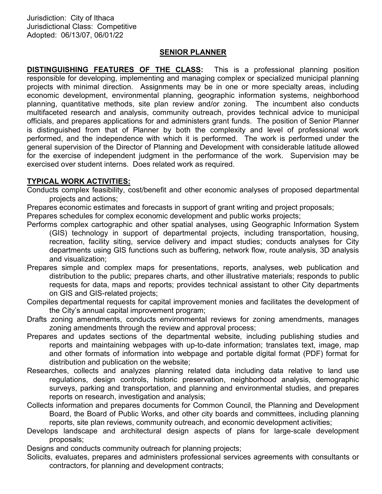#### SENIOR PLANNER

DISTINGUISHING FEATURES OF THE CLASS: This is a professional planning position responsible for developing, implementing and managing complex or specialized municipal planning projects with minimal direction. Assignments may be in one or more specialty areas, including economic development, environmental planning, geographic information systems, neighborhood planning, quantitative methods, site plan review and/or zoning. The incumbent also conducts multifaceted research and analysis, community outreach, provides technical advice to municipal officials, and prepares applications for and administers grant funds. The position of Senior Planner is distinguished from that of Planner by both the complexity and level of professional work performed, and the independence with which it is performed. The work is performed under the general supervision of the Director of Planning and Development with considerable latitude allowed for the exercise of independent judgment in the performance of the work. Supervision may be exercised over student interns. Does related work as required.

## TYPICAL WORK ACTIVITIES:

Conducts complex feasibility, cost/benefit and other economic analyses of proposed departmental projects and actions;

Prepares economic estimates and forecasts in support of grant writing and project proposals;

Prepares schedules for complex economic development and public works projects;

Performs complex cartographic and other spatial analyses, using Geographic Information System (GIS) technology in support of departmental projects, including transportation, housing, recreation, facility siting, service delivery and impact studies; conducts analyses for City departments using GIS functions such as buffering, network flow, route analysis, 3D analysis and visualization;

- Prepares simple and complex maps for presentations, reports, analyses, web publication and distribution to the public; prepares charts, and other illustrative materials; responds to public requests for data, maps and reports; provides technical assistant to other City departments on GIS and GIS-related projects;
- Compiles departmental requests for capital improvement monies and facilitates the development of the City's annual capital improvement program;
- Drafts zoning amendments, conducts environmental reviews for zoning amendments, manages zoning amendments through the review and approval process;
- Prepares and updates sections of the departmental website, including publishing studies and reports and maintaining webpages with up-to-date information; translates text, image, map and other formats of information into webpage and portable digital format (PDF) format for distribution and publication on the website;
- Researches, collects and analyzes planning related data including data relative to land use regulations, design controls, historic preservation, neighborhood analysis, demographic surveys, parking and transportation, and planning and environmental studies, and prepares reports on research, investigation and analysis;
- Collects information and prepares documents for Common Council, the Planning and Development Board, the Board of Public Works, and other city boards and committees, including planning reports, site plan reviews, community outreach, and economic development activities;
- Develops landscape and architectural design aspects of plans for large-scale development proposals;

Designs and conducts community outreach for planning projects;

Solicits, evaluates, prepares and administers professional services agreements with consultants or contractors, for planning and development contracts;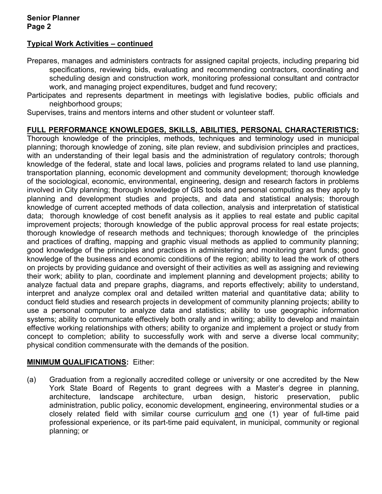# Typical Work Activities – continued

Prepares, manages and administers contracts for assigned capital projects, including preparing bid specifications, reviewing bids, evaluating and recommending contractors, coordinating and scheduling design and construction work, monitoring professional consultant and contractor work, and managing project expenditures, budget and fund recovery;

Participates and represents department in meetings with legislative bodies, public officials and neighborhood groups;

Supervises, trains and mentors interns and other student or volunteer staff.

## FULL PERFORMANCE KNOWLEDGES, SKILLS, ABILITIES, PERSONAL CHARACTERISTICS:

Thorough knowledge of the principles, methods, techniques and terminology used in municipal planning; thorough knowledge of zoning, site plan review, and subdivision principles and practices, with an understanding of their legal basis and the administration of regulatory controls; thorough knowledge of the federal, state and local laws, policies and programs related to land use planning, transportation planning, economic development and community development; thorough knowledge of the sociological, economic, environmental, engineering, design and research factors in problems involved in City planning; thorough knowledge of GIS tools and personal computing as they apply to planning and development studies and projects, and data and statistical analysis; thorough knowledge of current accepted methods of data collection, analysis and interpretation of statistical data; thorough knowledge of cost benefit analysis as it applies to real estate and public capital improvement projects; thorough knowledge of the public approval process for real estate projects; thorough knowledge of research methods and techniques; thorough knowledge of the principles and practices of drafting, mapping and graphic visual methods as applied to community planning; good knowledge of the principles and practices in administering and monitoring grant funds; good knowledge of the business and economic conditions of the region; ability to lead the work of others on projects by providing guidance and oversight of their activities as well as assigning and reviewing their work; ability to plan, coordinate and implement planning and development projects; ability to analyze factual data and prepare graphs, diagrams, and reports effectively; ability to understand, interpret and analyze complex oral and detailed written material and quantitative data; ability to conduct field studies and research projects in development of community planning projects; ability to use a personal computer to analyze data and statistics; ability to use geographic information systems; ability to communicate effectively both orally and in writing; ability to develop and maintain effective working relationships with others; ability to organize and implement a project or study from concept to completion; ability to successfully work with and serve a diverse local community; physical condition commensurate with the demands of the position.

#### MINIMUM QUALIFICATIONS: Either:

(a) Graduation from a regionally accredited college or university or one accredited by the New York State Board of Regents to grant degrees with a Master's degree in planning, architecture, landscape architecture, urban design, historic preservation, public administration, public policy, economic development, engineering, environmental studies or a closely related field with similar course curriculum and one (1) year of full-time paid professional experience, or its part-time paid equivalent, in municipal, community or regional planning; or